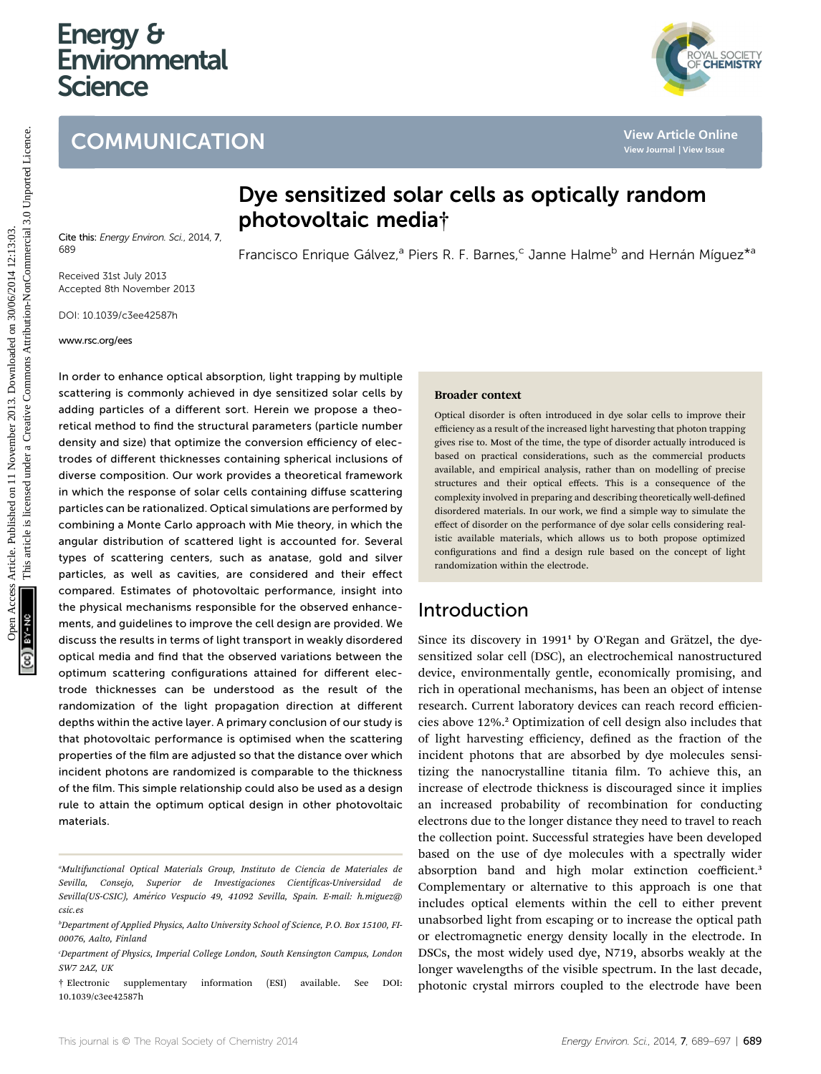# Energy & **Environmental Science**



Cite this: Energy Environ. Sci., 2014, 7, 689

Dye sensitized solar cells as optically random photovoltaic media†

Francisco Enrique Gálvez,<sup>a</sup> Piers R. F. Barnes,<sup>c</sup> Janne Halme<sup>b</sup> and Hernán Míguez<sup>\*a</sup>

Received 31st July 2013 Accepted 8th November 2013

DOI: 10.1039/c3ee42587h

www.rsc.org/ees

In order to enhance optical absorption, light trapping by multiple scattering is commonly achieved in dye sensitized solar cells by adding particles of a different sort. Herein we propose a theoretical method to find the structural parameters (particle number density and size) that optimize the conversion efficiency of electrodes of different thicknesses containing spherical inclusions of diverse composition. Our work provides a theoretical framework in which the response of solar cells containing diffuse scattering particles can be rationalized. Optical simulations are performed by combining a Monte Carlo approach with Mie theory, in which the angular distribution of scattered light is accounted for. Several types of scattering centers, such as anatase, gold and silver particles, as well as cavities, are considered and their effect compared. Estimates of photovoltaic performance, insight into the physical mechanisms responsible for the observed enhancements, and guidelines to improve the cell design are provided. We discuss the results in terms of light transport in weakly disordered optical media and find that the observed variations between the optimum scattering configurations attained for different electrode thicknesses can be understood as the result of the randomization of the light propagation direction at different depths within the active layer. A primary conclusion of our study is that photovoltaic performance is optimised when the scattering properties of the film are adjusted so that the distance over which incident photons are randomized is comparable to the thickness of the film. This simple relationship could also be used as a design COMMUNICATION<br> **Dye sensitized solar cells as optically random**<br> **Dye sensitized solar cells as optically random**<br> **State from the property of the computer of the control of the control of the control of the control of th** 

materials.

rule to attain the optimum optical design in other photovoltaic

#### Broader context

Optical disorder is often introduced in dye solar cells to improve their efficiency as a result of the increased light harvesting that photon trapping gives rise to. Most of the time, the type of disorder actually introduced is based on practical considerations, such as the commercial products available, and empirical analysis, rather than on modelling of precise structures and their optical effects. This is a consequence of the complexity involved in preparing and describing theoretically well-defined disordered materials. In our work, we find a simple way to simulate the effect of disorder on the performance of dye solar cells considering realistic available materials, which allows us to both propose optimized configurations and find a design rule based on the concept of light randomization within the electrode.

#### Introduction

Since its discovery in  $1991<sup>1</sup>$  by O'Regan and Grätzel, the dyesensitized solar cell (DSC), an electrochemical nanostructured device, environmentally gentle, economically promising, and rich in operational mechanisms, has been an object of intense research. Current laboratory devices can reach record efficiencies above 12%.<sup>2</sup> Optimization of cell design also includes that of light harvesting efficiency, defined as the fraction of the incident photons that are absorbed by dye molecules sensitizing the nanocrystalline titania film. To achieve this, an increase of electrode thickness is discouraged since it implies an increased probability of recombination for conducting electrons due to the longer distance they need to travel to reach the collection point. Successful strategies have been developed based on the use of dye molecules with a spectrally wider absorption band and high molar extinction coefficient.<sup>3</sup> Complementary or alternative to this approach is one that includes optical elements within the cell to either prevent unabsorbed light from escaping or to increase the optical path or electromagnetic energy density locally in the electrode. In DSCs, the most widely used dye, N719, absorbs weakly at the longer wavelengths of the visible spectrum. In the last decade, photonic crystal mirrors coupled to the electrode have been

a Multifunctional Optical Materials Group, Instituto de Ciencia de Materiales de Sevilla, Consejo, Superior de Investigaciones Científicas-Universidad de Sevilla(US-CSIC), Am´erico Vespucio 49, 41092 Sevilla, Spain. E-mail: h.miguez@ csic.es

b Department of Applied Physics, Aalto University School of Science, P.O. Box 15100, FI-00076, Aalto, Finland

<sup>&#</sup>x27;Department of Physics, Imperial College London, South Kensington Campus, London SW7 2AZ, UK

<sup>†</sup> Electronic supplementary information (ESI) available. See DOI: 10.1039/c3ee42587h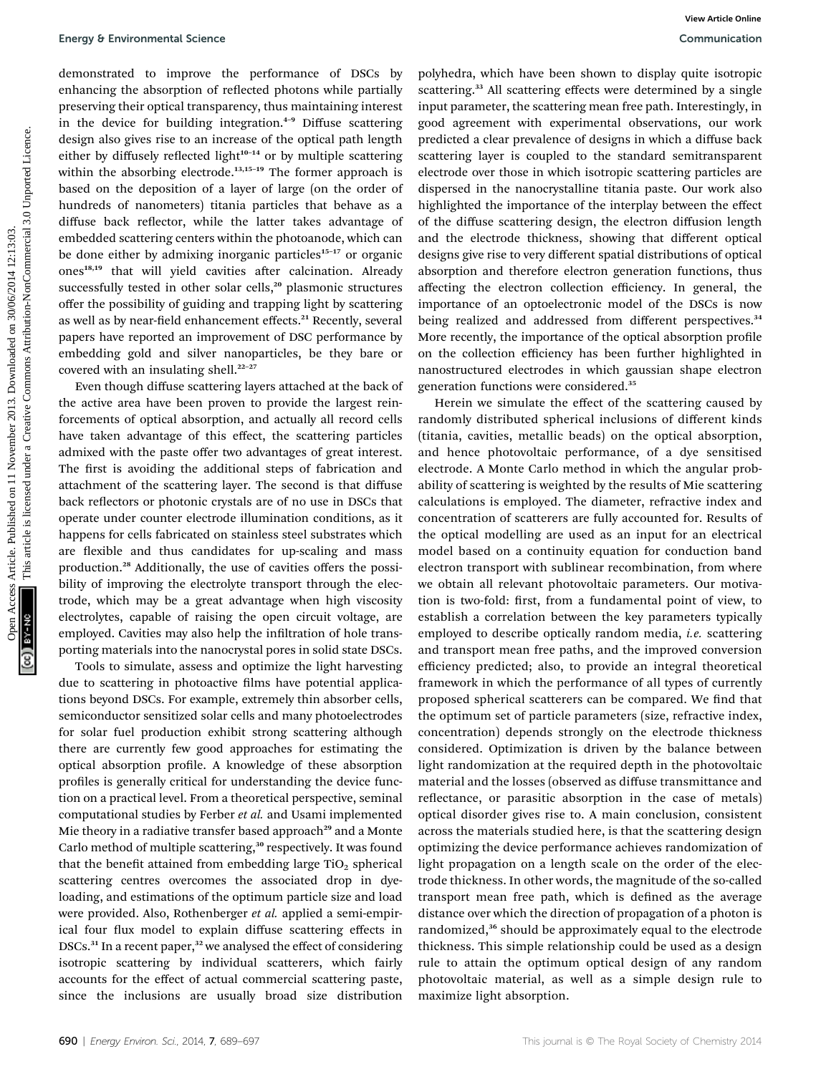demonstrated to improve the performance of DSCs by enhancing the absorption of reflected photons while partially preserving their optical transparency, thus maintaining interest in the device for building integration.<sup>4-9</sup> Diffuse scattering design also gives rise to an increase of the optical path length either by diffusely reflected light $10^{-14}$  or by multiple scattering within the absorbing electrode.<sup>13,15-19</sup> The former approach is based on the deposition of a layer of large (on the order of hundreds of nanometers) titania particles that behave as a diffuse back reflector, while the latter takes advantage of embedded scattering centers within the photoanode, which can be done either by admixing inorganic particles<sup>15-17</sup> or organic ones<sup>18,19</sup> that will yield cavities after calcination. Already successfully tested in other solar cells,<sup>20</sup> plasmonic structures offer the possibility of guiding and trapping light by scattering as well as by near-field enhancement effects.<sup>21</sup> Recently, several papers have reported an improvement of DSC performance by embedding gold and silver nanoparticles, be they bare or covered with an insulating shell.<sup>22-27</sup>

Even though diffuse scattering layers attached at the back of the active area have been proven to provide the largest reinforcements of optical absorption, and actually all record cells have taken advantage of this effect, the scattering particles admixed with the paste offer two advantages of great interest. The first is avoiding the additional steps of fabrication and attachment of the scattering layer. The second is that diffuse back reflectors or photonic crystals are of no use in DSCs that operate under counter electrode illumination conditions, as it happens for cells fabricated on stainless steel substrates which are flexible and thus candidates for up-scaling and mass production.<sup>28</sup> Additionally, the use of cavities offers the possibility of improving the electrolyte transport through the electrode, which may be a great advantage when high viscosity electrolytes, capable of raising the open circuit voltage, are employed. Cavities may also help the infiltration of hole transporting materials into the nanocrystal pores in solid state DSCs.

Tools to simulate, assess and optimize the light harvesting due to scattering in photoactive films have potential applications beyond DSCs. For example, extremely thin absorber cells, semiconductor sensitized solar cells and many photoelectrodes for solar fuel production exhibit strong scattering although there are currently few good approaches for estimating the optical absorption profile. A knowledge of these absorption profiles is generally critical for understanding the device function on a practical level. From a theoretical perspective, seminal computational studies by Ferber et al. and Usami implemented Mie theory in a radiative transfer based approach<sup>29</sup> and a Monte Carlo method of multiple scattering,<sup>30</sup> respectively. It was found that the benefit attained from embedding large  $TiO<sub>2</sub>$  spherical scattering centres overcomes the associated drop in dyeloading, and estimations of the optimum particle size and load were provided. Also, Rothenberger et al. applied a semi-empirical four flux model to explain diffuse scattering effects in DSCs.<sup>31</sup> In a recent paper,<sup>32</sup> we analysed the effect of considering isotropic scattering by individual scatterers, which fairly accounts for the effect of actual commercial scattering paste, since the inclusions are usually broad size distribution

polyhedra, which have been shown to display quite isotropic scattering.<sup>33</sup> All scattering effects were determined by a single input parameter, the scattering mean free path. Interestingly, in good agreement with experimental observations, our work predicted a clear prevalence of designs in which a diffuse back scattering layer is coupled to the standard semitransparent electrode over those in which isotropic scattering particles are dispersed in the nanocrystalline titania paste. Our work also highlighted the importance of the interplay between the effect of the diffuse scattering design, the electron diffusion length and the electrode thickness, showing that different optical designs give rise to very different spatial distributions of optical absorption and therefore electron generation functions, thus affecting the electron collection efficiency. In general, the importance of an optoelectronic model of the DSCs is now being realized and addressed from different perspectives.<sup>34</sup> More recently, the importance of the optical absorption profile on the collection efficiency has been further highlighted in nanostructured electrodes in which gaussian shape electron generation functions were considered.<sup>35</sup> Compute the interest of the performance of DSCs by polyhedra, which have been above to display contribute the properties are presented to the interest of the commons of the commons are the commons are the commons and the s

Herein we simulate the effect of the scattering caused by randomly distributed spherical inclusions of different kinds (titania, cavities, metallic beads) on the optical absorption, and hence photovoltaic performance, of a dye sensitised electrode. A Monte Carlo method in which the angular probability of scattering is weighted by the results of Mie scattering calculations is employed. The diameter, refractive index and concentration of scatterers are fully accounted for. Results of the optical modelling are used as an input for an electrical model based on a continuity equation for conduction band electron transport with sublinear recombination, from where we obtain all relevant photovoltaic parameters. Our motivation is two-fold: first, from a fundamental point of view, to establish a correlation between the key parameters typically employed to describe optically random media, *i.e.* scattering and transport mean free paths, and the improved conversion efficiency predicted; also, to provide an integral theoretical framework in which the performance of all types of currently proposed spherical scatterers can be compared. We find that the optimum set of particle parameters (size, refractive index, concentration) depends strongly on the electrode thickness considered. Optimization is driven by the balance between light randomization at the required depth in the photovoltaic material and the losses (observed as diffuse transmittance and reflectance, or parasitic absorption in the case of metals) optical disorder gives rise to. A main conclusion, consistent across the materials studied here, is that the scattering design optimizing the device performance achieves randomization of light propagation on a length scale on the order of the electrode thickness. In other words, the magnitude of the so-called transport mean free path, which is defined as the average distance over which the direction of propagation of a photon is randomized,<sup>36</sup> should be approximately equal to the electrode thickness. This simple relationship could be used as a design rule to attain the optimum optical design of any random photovoltaic material, as well as a simple design rule to maximize light absorption.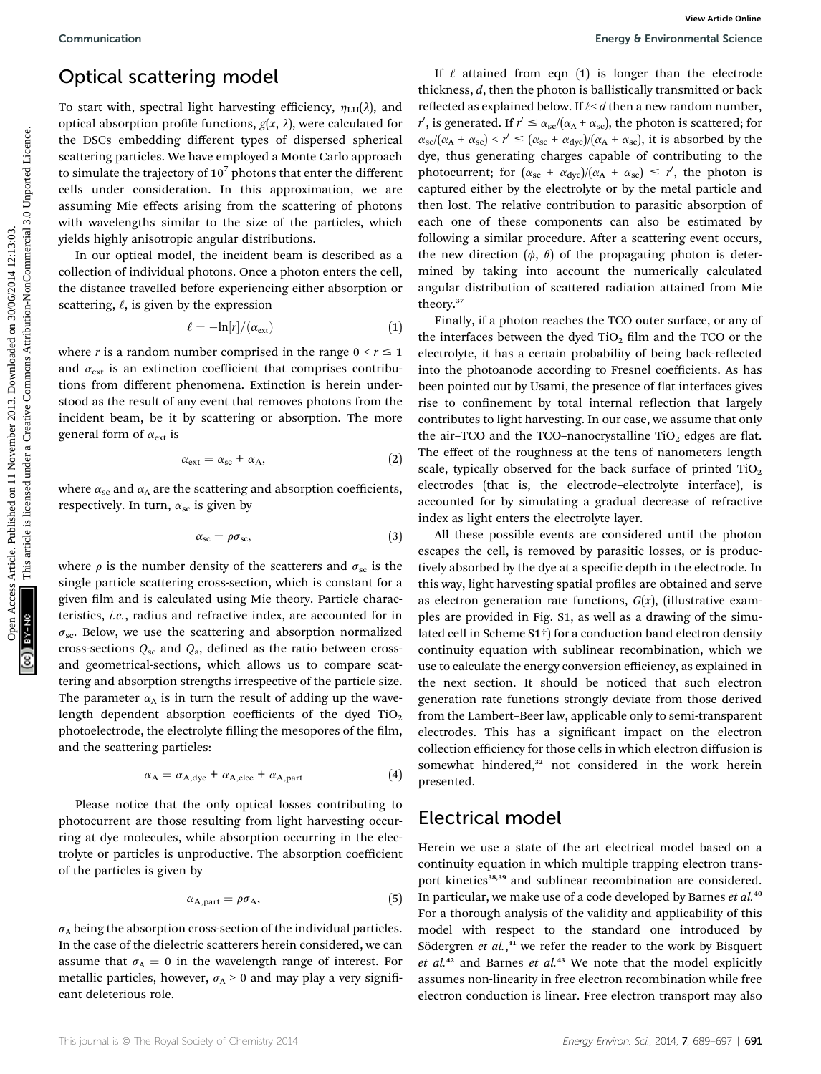## Optical scattering model

To start with, spectral light harvesting efficiency,  $\eta_{\text{LH}}(\lambda)$ , and optical absorption profile functions,  $g(x, \lambda)$ , were calculated for the DSCs embedding different types of dispersed spherical scattering particles. We have employed a Monte Carlo approach to simulate the trajectory of  $10<sup>7</sup>$  photons that enter the different cells under consideration. In this approximation, we are assuming Mie effects arising from the scattering of photons with wavelengths similar to the size of the particles, which yields highly anisotropic angular distributions.

In our optical model, the incident beam is described as a collection of individual photons. Once a photon enters the cell, the distance travelled before experiencing either absorption or scattering,  $\ell$ , is given by the expression

$$
\ell = -\ln[r]/(\alpha_{\rm ext})\tag{1}
$$

where r is a random number comprised in the range  $0 \le r \le 1$ and  $\alpha_{\text{ext}}$  is an extinction coefficient that comprises contributions from different phenomena. Extinction is herein understood as the result of any event that removes photons from the incident beam, be it by scattering or absorption. The more general form of  $\alpha_{\text{ext}}$  is

$$
\alpha_{\rm ext} = \alpha_{\rm sc} + \alpha_{\rm A},\tag{2}
$$

where  $\alpha_{\rm sc}$  and  $\alpha_{\rm A}$  are the scattering and absorption coefficients, respectively. In turn,  $\alpha_{\rm sc}$  is given by

$$
\alpha_{\rm sc} = \rho \sigma_{\rm sc},\tag{3}
$$

where  $\rho$  is the number density of the scatterers and  $\sigma_{\rm sc}$  is the single particle scattering cross-section, which is constant for a given film and is calculated using Mie theory. Particle characteristics, i.e., radius and refractive index, are accounted for in  $\sigma_{\rm sc}$ . Below, we use the scattering and absorption normalized cross-sections  $Q_{\rm sc}$  and  $Q_{\rm a}$ , defined as the ratio between crossand geometrical-sections, which allows us to compare scattering and absorption strengths irrespective of the particle size. The parameter  $\alpha_A$  is in turn the result of adding up the wavelength dependent absorption coefficients of the dyed  $TiO<sub>2</sub>$ photoelectrode, the electrolyte filling the mesopores of the film, and the scattering particles:

$$
\alpha_{\rm A} = \alpha_{\rm A,dye} + \alpha_{\rm A,elec} + \alpha_{\rm A,part} \tag{4}
$$

Please notice that the only optical losses contributing to photocurrent are those resulting from light harvesting occurring at dye molecules, while absorption occurring in the electrolyte or particles is unproductive. The absorption coefficient of the particles is given by

$$
\alpha_{A,part} = \rho \sigma_A, \tag{5}
$$

 $\sigma_A$  being the absorption cross-section of the individual particles. In the case of the dielectric scatterers herein considered, we can assume that  $\sigma_A = 0$  in the wavelength range of interest. For metallic particles, however,  $\sigma_A > 0$  and may play a very significant deleterious role.

If  $\ell$  attained from eqn (1) is longer than the electrode thickness,  $d$ , then the photon is ballistically transmitted or back reflected as explained below. If  $l < d$  then a new random number,  $r'$ , is generated. If  $r' \leq \alpha_{sc}/(\alpha_A + \alpha_{sc})$ , the photon is scattered; for  $\alpha_{\rm sc}/(\alpha_{\rm A} + \alpha_{\rm sc}) < r' \leq (\alpha_{\rm sc} + \alpha_{\rm dye})/(\alpha_{\rm A} + \alpha_{\rm sc})$ , it is absorbed by the dye, thus generating charges capable of contributing to the photocurrent; for  $(\alpha_{\rm sc} + \alpha_{\rm dye})/(\alpha_{\rm A} + \alpha_{\rm sc}) \leq r'$ , the photon is captured either by the electrolyte or by the metal particle and then lost. The relative contribution to parasitic absorption of each one of these components can also be estimated by following a similar procedure. After a scattering event occurs, the new direction  $(\phi, \theta)$  of the propagating photon is determined by taking into account the numerically calculated angular distribution of scattered radiation attained from Mie theory.<sup>37</sup> Communication<br>
Optical scattering model<br>
To satisfy architecture, the case of distance of the case of the case of the case of the case of the case of the case of the case of the case of the case of the case of the case of

Finally, if a photon reaches the TCO outer surface, or any of the interfaces between the dyed  $TiO<sub>2</sub>$  film and the TCO or the electrolyte, it has a certain probability of being back-reflected into the photoanode according to Fresnel coefficients. As has been pointed out by Usami, the presence of flat interfaces gives rise to confinement by total internal reflection that largely contributes to light harvesting. In our case, we assume that only the air-TCO and the TCO-nanocrystalline  $TiO<sub>2</sub>$  edges are flat. The effect of the roughness at the tens of nanometers length scale, typically observed for the back surface of printed  $TiO<sub>2</sub>$ electrodes (that is, the electrode–electrolyte interface), is accounted for by simulating a gradual decrease of refractive index as light enters the electrolyte layer.

All these possible events are considered until the photon escapes the cell, is removed by parasitic losses, or is productively absorbed by the dye at a specific depth in the electrode. In this way, light harvesting spatial profiles are obtained and serve as electron generation rate functions,  $G(x)$ , (illustrative examples are provided in Fig. S1, as well as a drawing of the simulated cell in Scheme S1†) for a conduction band electron density continuity equation with sublinear recombination, which we use to calculate the energy conversion efficiency, as explained in the next section. It should be noticed that such electron generation rate functions strongly deviate from those derived from the Lambert–Beer law, applicable only to semi-transparent electrodes. This has a signicant impact on the electron collection efficiency for those cells in which electron diffusion is somewhat hindered,<sup>32</sup> not considered in the work herein presented.

#### Electrical model

Herein we use a state of the art electrical model based on a continuity equation in which multiple trapping electron transport kinetics<sup>38,39</sup> and sublinear recombination are considered. In particular, we make use of a code developed by Barnes  $et$   $al$ .<sup>40</sup> For a thorough analysis of the validity and applicability of this model with respect to the standard one introduced by Södergren et  $al$ ,<sup>41</sup> we refer the reader to the work by Bisquert et  $al^{42}$  and Barnes et  $al^{43}$ . We note that the model explicitly assumes non-linearity in free electron recombination while free electron conduction is linear. Free electron transport may also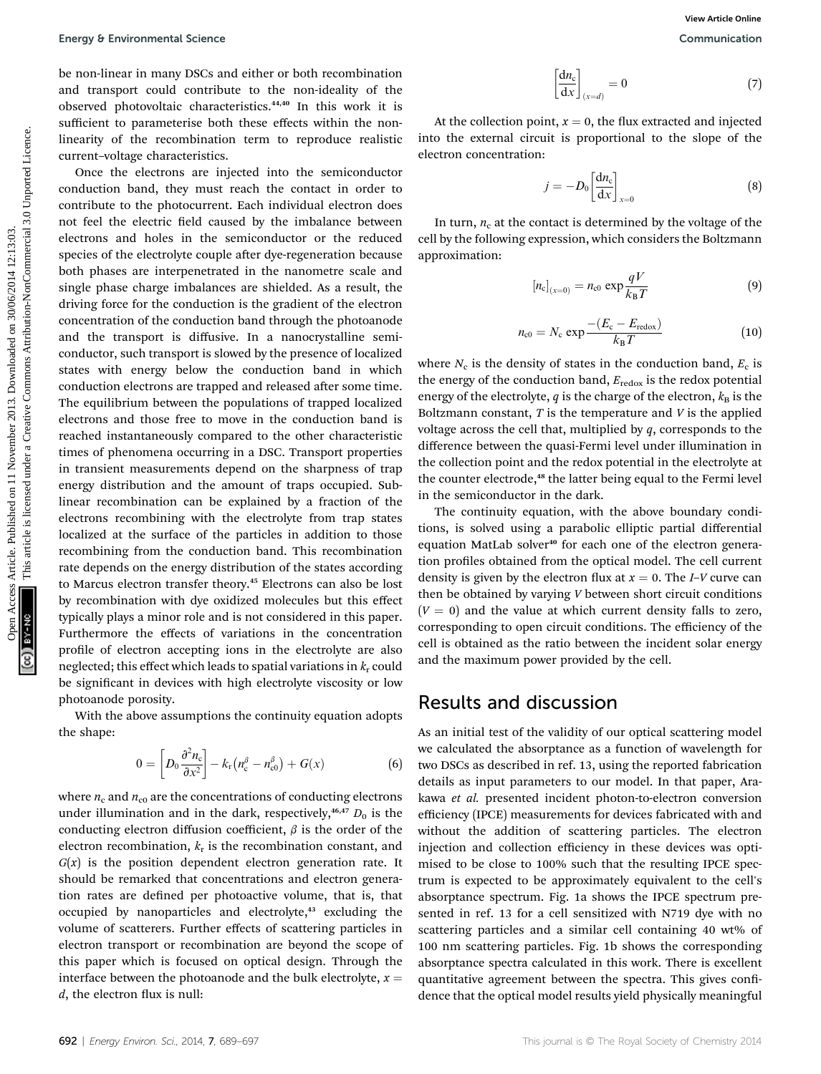be non-linear in many DSCs and either or both recombination and transport could contribute to the non-ideality of the observed photovoltaic characteristics.44,40 In this work it is sufficient to parameterise both these effects within the nonlinearity of the recombination term to reproduce realistic current–voltage characteristics.

Once the electrons are injected into the semiconductor conduction band, they must reach the contact in order to contribute to the photocurrent. Each individual electron does not feel the electric field caused by the imbalance between electrons and holes in the semiconductor or the reduced species of the electrolyte couple after dye-regeneration because both phases are interpenetrated in the nanometre scale and single phase charge imbalances are shielded. As a result, the driving force for the conduction is the gradient of the electron concentration of the conduction band through the photoanode and the transport is diffusive. In a nanocrystalline semiconductor, such transport is slowed by the presence of localized states with energy below the conduction band in which conduction electrons are trapped and released after some time. The equilibrium between the populations of trapped localized electrons and those free to move in the conduction band is reached instantaneously compared to the other characteristic times of phenomena occurring in a DSC. Transport properties in transient measurements depend on the sharpness of trap energy distribution and the amount of traps occupied. Sublinear recombination can be explained by a fraction of the electrons recombining with the electrolyte from trap states localized at the surface of the particles in addition to those recombining from the conduction band. This recombination rate depends on the energy distribution of the states according to Marcus electron transfer theory.<sup>45</sup> Electrons can also be lost by recombination with dye oxidized molecules but this effect typically plays a minor role and is not considered in this paper. Furthermore the effects of variations in the concentration profile of electron accepting ions in the electrolyte are also neglected; this effect which leads to spatial variations in  $k_r$  could be significant in devices with high electrolyte viscosity or low photoanode porosity. Deergy & Environmenta Science<br>
are an invegore and the original term in the children in the multiplier of the solicition profile is licensed under the matter of the controlline in the controlline in the controlline in the

With the above assumptions the continuity equation adopts the shape:

$$
0 = \left[ D_0 \frac{\partial^2 n_c}{\partial x^2} \right] - k_r \left( n_c^\beta - n_{c0}^\beta \right) + G(x) \tag{6}
$$

where  $n_c$  and  $n_{co}$  are the concentrations of conducting electrons under illumination and in the dark, respectively,<sup>46,47</sup>  $D_0$  is the conducting electron diffusion coefficient,  $\beta$  is the order of the electron recombination,  $k_r$  is the recombination constant, and  $G(x)$  is the position dependent electron generation rate. It should be remarked that concentrations and electron generation rates are defined per photoactive volume, that is, that occupied by nanoparticles and electrolyte,<sup>43</sup> excluding the volume of scatterers. Further effects of scattering particles in electron transport or recombination are beyond the scope of this paper which is focused on optical design. Through the interface between the photoanode and the bulk electrolyte,  $x =$  $d$ , the electron flux is null:

$$
\left[\frac{\mathrm{d}n_{\mathrm{c}}}{\mathrm{d}x}\right]_{(x=d)} = 0\tag{7}
$$

At the collection point,  $x = 0$ , the flux extracted and injected into the external circuit is proportional to the slope of the electron concentration:

$$
j = -D_0 \left[ \frac{\mathrm{d}n_{\mathrm{c}}}{\mathrm{d}x} \right]_{x=0} \tag{8}
$$

In turn,  $n_c$  at the contact is determined by the voltage of the cell by the following expression, which considers the Boltzmann approximation:

$$
[n_{\rm c}]_{(x=0)} = n_{\rm c0} \exp \frac{qV}{k_{\rm B}T}
$$
 (9)

$$
n_{\rm c0} = N_{\rm c} \exp \frac{-(E_{\rm c} - E_{\rm redox})}{k_{\rm B} T}
$$
 (10)

where  $N_c$  is the density of states in the conduction band,  $E_c$  is the energy of the conduction band,  $E_{\text{redox}}$  is the redox potential energy of the electrolyte, q is the charge of the electron,  $k_B$  is the Boltzmann constant,  $T$  is the temperature and  $V$  is the applied voltage across the cell that, multiplied by  $q$ , corresponds to the difference between the quasi-Fermi level under illumination in the collection point and the redox potential in the electrolyte at the counter electrode,<sup>48</sup> the latter being equal to the Fermi level in the semiconductor in the dark.

The continuity equation, with the above boundary conditions, is solved using a parabolic elliptic partial differential equation MatLab solver<sup>40</sup> for each one of the electron generation profiles obtained from the optical model. The cell current density is given by the electron flux at  $x = 0$ . The *I–V* curve can then be obtained by varying V between short circuit conditions  $(V = 0)$  and the value at which current density falls to zero, corresponding to open circuit conditions. The efficiency of the cell is obtained as the ratio between the incident solar energy and the maximum power provided by the cell.

#### Results and discussion

As an initial test of the validity of our optical scattering model we calculated the absorptance as a function of wavelength for two DSCs as described in ref. 13, using the reported fabrication details as input parameters to our model. In that paper, Arakawa et al. presented incident photon-to-electron conversion efficiency (IPCE) measurements for devices fabricated with and without the addition of scattering particles. The electron injection and collection efficiency in these devices was optimised to be close to 100% such that the resulting IPCE spectrum is expected to be approximately equivalent to the cell's absorptance spectrum. Fig. 1a shows the IPCE spectrum presented in ref. 13 for a cell sensitized with N719 dye with no scattering particles and a similar cell containing 40 wt% of 100 nm scattering particles. Fig. 1b shows the corresponding absorptance spectra calculated in this work. There is excellent quantitative agreement between the spectra. This gives confidence that the optical model results yield physically meaningful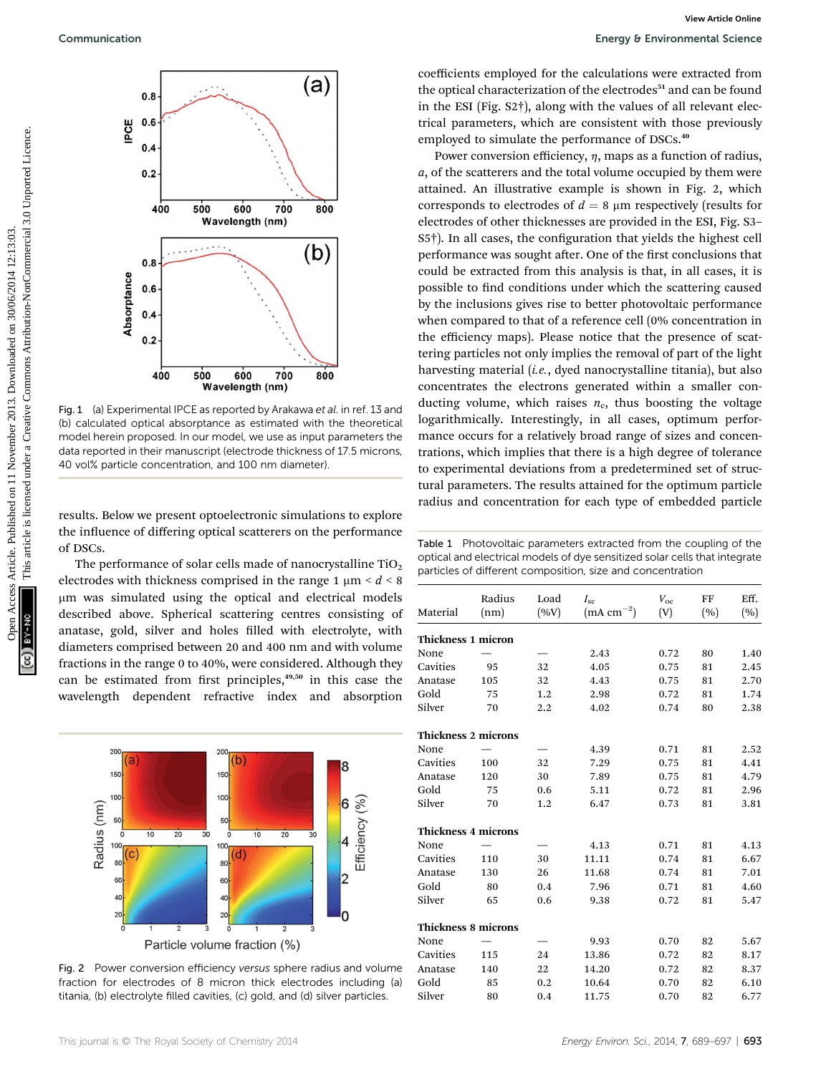

Fig. 1 (a) Experimental IPCE as reported by Arakawa et al. in ref. 13 and (b) calculated optical absorptance as estimated with the theoretical model herein proposed. In our model, we use as input parameters the data reported in their manuscript (electrode thickness of 17.5 microns, 40 vol% particle concentration, and 100 nm diameter).

results. Below we present optoelectronic simulations to explore the influence of differing optical scatterers on the performance of DSCs.

The performance of solar cells made of nanocrystalline  $TiO<sub>2</sub>$ electrodes with thickness comprised in the range 1  $\mu$ m <  $d$  < 8 mm was simulated using the optical and electrical models described above. Spherical scattering centres consisting of anatase, gold, silver and holes filled with electrolyte, with diameters comprised between 20 and 400 nm and with volume fractions in the range 0 to 40%, were considered. Although they can be estimated from first principles, $49,50$  in this case the wavelength dependent refractive index and absorption



Fig. 2 Power conversion efficiency versus sphere radius and volume fraction for electrodes of 8 micron thick electrodes including (a) titania, (b) electrolyte filled cavities, (c) gold, and (d) silver particles.

coefficients employed for the calculations were extracted from the optical characterization of the electrodes<sup>51</sup> and can be found in the ESI (Fig. S2†), along with the values of all relevant electrical parameters, which are consistent with those previously employed to simulate the performance of DSCs.<sup>40</sup>

Power conversion efficiency,  $\eta$ , maps as a function of radius. a, of the scatterers and the total volume occupied by them were attained. An illustrative example is shown in Fig. 2, which corresponds to electrodes of  $d = 8 \mu m$  respectively (results for electrodes of other thicknesses are provided in the ESI, Fig. S3– S5<sup>†</sup>). In all cases, the configuration that yields the highest cell performance was sought after. One of the first conclusions that could be extracted from this analysis is that, in all cases, it is possible to find conditions under which the scattering caused by the inclusions gives rise to better photovoltaic performance when compared to that of a reference cell (0% concentration in the efficiency maps). Please notice that the presence of scattering particles not only implies the removal of part of the light harvesting material (i.e., dyed nanocrystalline titania), but also concentrates the electrons generated within a smaller conducting volume, which raises  $n_c$ , thus boosting the voltage logarithmically. Interestingly, in all cases, optimum performance occurs for a relatively broad range of sizes and concentrations, which implies that there is a high degree of tolerance to experimental deviations from a predetermined set of structural parameters. The results attained for the optimum particle radius and concentration for each type of embedded particle Communication<br>  $\frac{1}{2}$ <br>  $\frac{1}{2}$ <br>  $\frac{1}{2}$ <br>  $\frac{1}{2}$ <br>  $\frac{1}{2}$ <br>  $\frac{1}{2}$ <br>  $\frac{1}{2}$ <br>  $\frac{1}{2}$ <br>  $\frac{1}{2}$ <br>  $\frac{1}{2}$ <br>  $\frac{1}{2}$ <br>  $\frac{1}{2}$ <br>  $\frac{1}{2}$ <br>  $\frac{1}{2}$ <br>  $\frac{1}{2}$ <br>  $\frac{1}{2}$ <br>  $\frac{1}{2}$ <br>  $\frac{1}{2}$ <br>  $\frac{1}{2}$ 

Table 1 Photovoltaic parameters extracted from the coupling of the optical and electrical models of dye sensitized solar cells that integrate particles of different composition, size and concentration

|                           | Radius                     | Load    | $I_{\rm sc}$   | $V_{\rm oc}$ | FF  | Eff. |
|---------------------------|----------------------------|---------|----------------|--------------|-----|------|
| Material                  | (nm)                       | $(\%V)$ | $(mA cm^{-2})$ | (V)          | (%) | (9)  |
| <b>Thickness 1 micron</b> |                            |         |                |              |     |      |
| None                      |                            |         | 2.43           | 0.72         | 80  | 1.40 |
| Cavities                  | 95                         | 32      | 4.05           | 0.75         | 81  | 2.45 |
| Anatase                   | 105                        | 32      | 4.43           | 0.75         | 81  | 2.70 |
| Gold                      | 75                         | 1.2     | 2.98           | 0.72         | 81  | 1.74 |
| Silver                    | 70                         | 2.2     | 4.02           | 0.74         | 80  | 2.38 |
|                           | <b>Thickness 2 microns</b> |         |                |              |     |      |
| None                      |                            |         | 4.39           | 0.71         | 81  | 2.52 |
| Cavities                  | 100                        | 32      | 7.29           | 0.75         | 81  | 4.41 |
| Anatase                   | 120                        | 30      | 7.89           | 0.75         | 81  | 4.79 |
| Gold                      | 75                         | 0.6     | 5.11           | 0.72         | 81  | 2.96 |
| Silver                    | 70                         | 1.2     | 6.47           | 0.73         | 81  | 3.81 |
|                           | <b>Thickness 4 microns</b> |         |                |              |     |      |
| None                      |                            |         | 4.13           | 0.71         | 81  | 4.13 |
| Cavities                  | 110                        | 30      | 11.11          | 0.74         | 81  | 6.67 |
| Anatase                   | 130                        | 26      | 11.68          | 0.74         | 81  | 7.01 |
| Gold                      | 80                         | 0.4     | 7.96           | 0.71         | 81  | 4.60 |
| Silver                    | 65                         | 0.6     | 9.38           | 0.72         | 81  | 5.47 |
|                           | <b>Thickness 8 microns</b> |         |                |              |     |      |
| None                      |                            |         | 9.93           | 0.70         | 82  | 5.67 |
| Cavities                  | 115                        | 24      | 13.86          | 0.72         | 82  | 8.17 |
| Anatase                   | 140                        | 22      | 14.20          | 0.72         | 82  | 8.37 |
| Gold                      | 85                         | 0.2     | 10.64          | 0.70         | 82  | 6.10 |
| Silver                    | 80                         | 0.4     | 11.75          | 0.70         | 82  | 6.77 |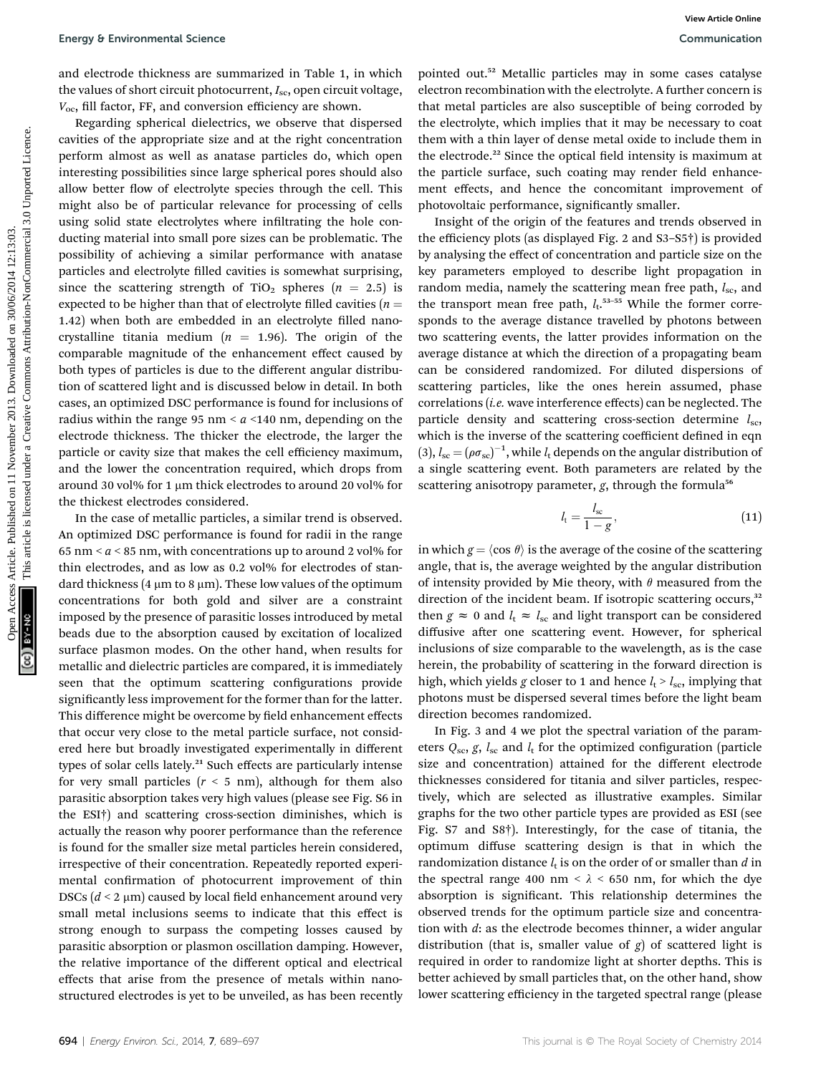and electrode thickness are summarized in Table 1, in which the values of short circuit photocurrent,  $I_{\text{sc}}$ , open circuit voltage,  $V_{\rm oc}$ , fill factor, FF, and conversion efficiency are shown.

Regarding spherical dielectrics, we observe that dispersed cavities of the appropriate size and at the right concentration perform almost as well as anatase particles do, which open interesting possibilities since large spherical pores should also allow better flow of electrolyte species through the cell. This might also be of particular relevance for processing of cells using solid state electrolytes where infiltrating the hole conducting material into small pore sizes can be problematic. The possibility of achieving a similar performance with anatase particles and electrolyte filled cavities is somewhat surprising, since the scattering strength of TiO<sub>2</sub> spheres ( $n = 2.5$ ) is expected to be higher than that of electrolyte filled cavities ( $n =$ 1.42) when both are embedded in an electrolyte filled nanocrystalline titania medium ( $n = 1.96$ ). The origin of the comparable magnitude of the enhancement effect caused by both types of particles is due to the different angular distribution of scattered light and is discussed below in detail. In both cases, an optimized DSC performance is found for inclusions of radius within the range 95 nm  $\le a \le 140$  nm, depending on the electrode thickness. The thicker the electrode, the larger the particle or cavity size that makes the cell efficiency maximum, and the lower the concentration required, which drops from around 30 vol% for 1 µm thick electrodes to around 20 vol% for the thickest electrodes considered. Deergy & Environmenta Science<br>
and electrics, we observe that dispersed one clusters are when the clusters are considered to the commons are the set of the set of the set of the set of the set of the set of the set of the

In the case of metallic particles, a similar trend is observed. An optimized DSC performance is found for radii in the range 65 nm <  $a$  < 85 nm, with concentrations up to around 2 vol% for thin electrodes, and as low as 0.2 vol% for electrodes of standard thickness (4  $\mu$ m to 8  $\mu$ m). These low values of the optimum concentrations for both gold and silver are a constraint imposed by the presence of parasitic losses introduced by metal beads due to the absorption caused by excitation of localized surface plasmon modes. On the other hand, when results for metallic and dielectric particles are compared, it is immediately seen that the optimum scattering configurations provide significantly less improvement for the former than for the latter. This difference might be overcome by field enhancement effects that occur very close to the metal particle surface, not considered here but broadly investigated experimentally in different types of solar cells lately.<sup>21</sup> Such effects are particularly intense for very small particles  $(r < 5$  nm), although for them also parasitic absorption takes very high values (please see Fig. S6 in the ESI†) and scattering cross-section diminishes, which is actually the reason why poorer performance than the reference is found for the smaller size metal particles herein considered, irrespective of their concentration. Repeatedly reported experimental confirmation of photocurrent improvement of thin DSCs  $(d < 2 \mu m)$  caused by local field enhancement around very small metal inclusions seems to indicate that this effect is strong enough to surpass the competing losses caused by parasitic absorption or plasmon oscillation damping. However, the relative importance of the different optical and electrical effects that arise from the presence of metals within nanostructured electrodes is yet to be unveiled, as has been recently

pointed out.<sup>52</sup> Metallic particles may in some cases catalyse electron recombination with the electrolyte. A further concern is that metal particles are also susceptible of being corroded by the electrolyte, which implies that it may be necessary to coat them with a thin layer of dense metal oxide to include them in the electrode.<sup>22</sup> Since the optical field intensity is maximum at the particle surface, such coating may render field enhancement effects, and hence the concomitant improvement of photovoltaic performance, significantly smaller.

Insight of the origin of the features and trends observed in the efficiency plots (as displayed Fig. 2 and S3–S5†) is provided by analysing the effect of concentration and particle size on the key parameters employed to describe light propagation in random media, namely the scattering mean free path,  $l_{\text{sc}}$ , and the transport mean free path,  $l_t$ <sup>53-55</sup> While the former corresponds to the average distance travelled by photons between two scattering events, the latter provides information on the average distance at which the direction of a propagating beam can be considered randomized. For diluted dispersions of scattering particles, like the ones herein assumed, phase correlations (i.e. wave interference effects) can be neglected. The particle density and scattering cross-section determine  $l_{\rm sc}$ , which is the inverse of the scattering coefficient defined in eqn (3),  $l_{\rm sc} = (\rho \sigma_{\rm sc})^{-1}$ , while  $l_{\rm t}$  depends on the angular distribution of a single scattering event. Both parameters are related by the scattering anisotropy parameter,  $g$ , through the formula<sup>56</sup>

$$
l_{\rm t} = \frac{l_{\rm sc}}{1 - g},\tag{11}
$$

in which  $g = \langle \cos \theta \rangle$  is the average of the cosine of the scattering angle, that is, the average weighted by the angular distribution of intensity provided by Mie theory, with  $\theta$  measured from the direction of the incident beam. If isotropic scattering occurs,<sup>32</sup> then  $g \approx 0$  and  $l_t \approx l_{sc}$  and light transport can be considered diffusive after one scattering event. However, for spherical inclusions of size comparable to the wavelength, as is the case herein, the probability of scattering in the forward direction is high, which yields g closer to 1 and hence  $l_t > l_{\rm sc}$ , implying that photons must be dispersed several times before the light beam direction becomes randomized.

In Fig. 3 and 4 we plot the spectral variation of the parameters  $Q_{\rm sc}$ ,  $g$ ,  $l_{\rm sc}$  and  $l_{\rm t}$  for the optimized configuration (particle size and concentration) attained for the different electrode thicknesses considered for titania and silver particles, respectively, which are selected as illustrative examples. Similar graphs for the two other particle types are provided as ESI (see Fig. S7 and S8†). Interestingly, for the case of titania, the optimum diffuse scattering design is that in which the randomization distance  $l_t$  is on the order of or smaller than d in the spectral range 400 nm <  $\lambda$  < 650 nm, for which the dye absorption is significant. This relationship determines the observed trends for the optimum particle size and concentration with d: as the electrode becomes thinner, a wider angular distribution (that is, smaller value of  $g$ ) of scattered light is required in order to randomize light at shorter depths. This is better achieved by small particles that, on the other hand, show lower scattering efficiency in the targeted spectral range (please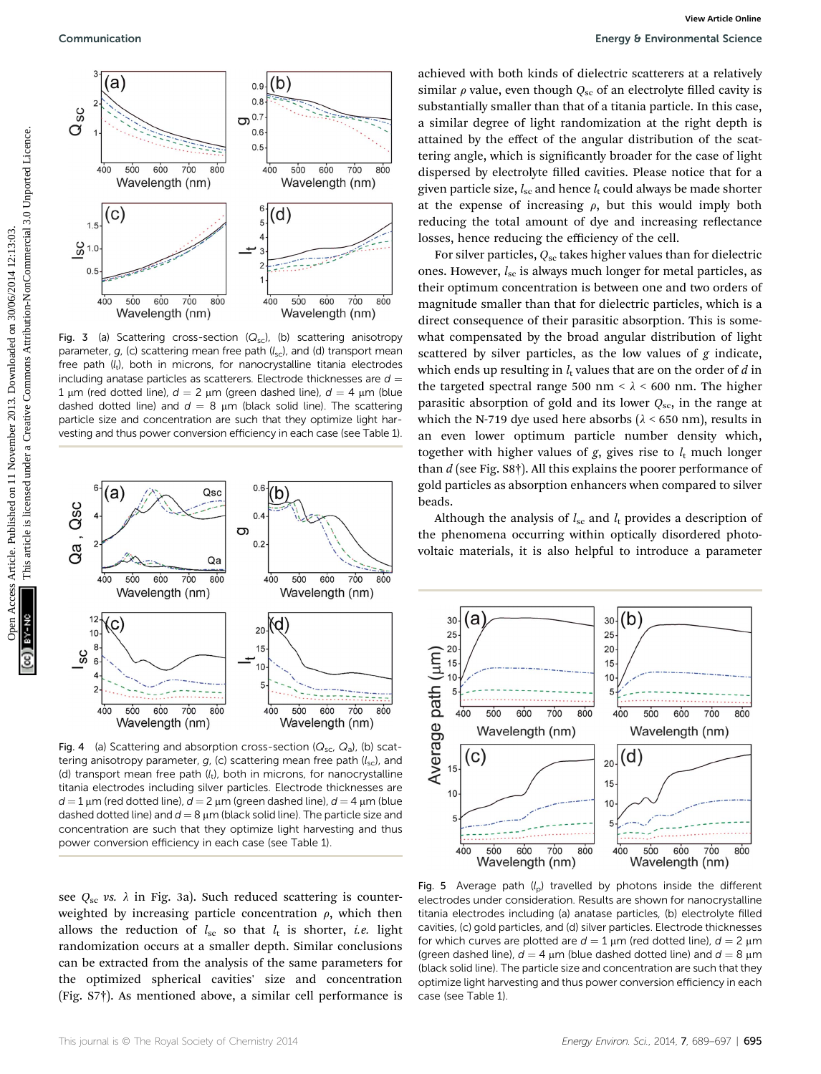

Fig. 3 (a) Scattering cross-section  $(Q_{sc})$ , (b) scattering anisotropy parameter,  $q_i$  (c) scattering mean free path  $(l_{sc})$ , and (d) transport mean free path  $(l_t)$ , both in microns, for nanocrystalline titania electrodes including anatase particles as scatterers. Electrode thicknesses are  $d =$ 1  $\mu$ m (red dotted line),  $d = 2 \mu$ m (green dashed line),  $d = 4 \mu$ m (blue dashed dotted line) and  $d = 8 \mu m$  (black solid line). The scattering particle size and concentration are such that they optimize light harvesting and thus power conversion efficiency in each case (see Table 1).



Fig. 4 (a) Scattering and absorption cross-section  $(Q_{\rm sc}, Q_{\rm a})$ , (b) scattering anisotropy parameter, g, (c) scattering mean free path  $(l_{\rm sc})$ , and (d) transport mean free path  $(l_t)$ , both in microns, for nanocrystalline titania electrodes including silver particles. Electrode thicknesses are  $d = 1 \,\mu m$  (red dotted line),  $d = 2 \,\mu m$  (green dashed line),  $d = 4 \,\mu m$  (blue dashed dotted line) and  $d = 8 \mu m$  (black solid line). The particle size and concentration are such that they optimize light harvesting and thus power conversion efficiency in each case (see Table 1).

see  $Q_{\rm sc}$  vs.  $\lambda$  in Fig. 3a). Such reduced scattering is counterweighted by increasing particle concentration  $\rho$ , which then allows the reduction of  $l<sub>sc</sub>$  so that  $l<sub>t</sub>$  is shorter, *i.e.* light randomization occurs at a smaller depth. Similar conclusions can be extracted from the analysis of the same parameters for the optimized spherical cavities' size and concentration (Fig. S7†). As mentioned above, a similar cell performance is

achieved with both kinds of dielectric scatterers at a relatively similar  $\rho$  value, even though  $Q_{\rm sc}$  of an electrolyte filled cavity is substantially smaller than that of a titania particle. In this case, a similar degree of light randomization at the right depth is attained by the effect of the angular distribution of the scattering angle, which is signicantly broader for the case of light dispersed by electrolyte filled cavities. Please notice that for a given particle size,  $l_{\rm sc}$  and hence  $l_{\rm t}$  could always be made shorter at the expense of increasing  $\rho$ , but this would imply both reducing the total amount of dye and increasing reflectance losses, hence reducing the efficiency of the cell.

For silver particles,  $Q_{\rm sc}$  takes higher values than for dielectric ones. However,  $l_{\rm sc}$  is always much longer for metal particles, as their optimum concentration is between one and two orders of magnitude smaller than that for dielectric particles, which is a direct consequence of their parasitic absorption. This is somewhat compensated by the broad angular distribution of light scattered by silver particles, as the low values of  $g$  indicate, which ends up resulting in  $l_t$  values that are on the order of d in the targeted spectral range 500 nm <  $\lambda$  < 600 nm. The higher parasitic absorption of gold and its lower  $Q_{\rm sc}$ , in the range at which the N-719 dye used here absorbs ( $\lambda$  < 650 nm), results in an even lower optimum particle number density which, together with higher values of g, gives rise to  $l_t$  much longer than  $d$  (see Fig. S8 $\dagger$ ). All this explains the poorer performance of gold particles as absorption enhancers when compared to silver beads.

Although the analysis of  $l<sub>sc</sub>$  and  $l<sub>t</sub>$  provides a description of the phenomena occurring within optically disordered photovoltaic materials, it is also helpful to introduce a parameter



Fig. 5 Average path  $(l_p)$  travelled by photons inside the different electrodes under consideration. Results are shown for nanocrystalline titania electrodes including (a) anatase particles, (b) electrolyte filled cavities, (c) gold particles, and (d) silver particles. Electrode thicknesses for which curves are plotted are  $d = 1 \mu m$  (red dotted line),  $d = 2 \mu m$ (green dashed line),  $d = 4 \mu m$  (blue dashed dotted line) and  $d = 8 \mu m$ (black solid line). The particle size and concentration are such that they optimize light harvesting and thus power conversion efficiency in each case (see Table 1).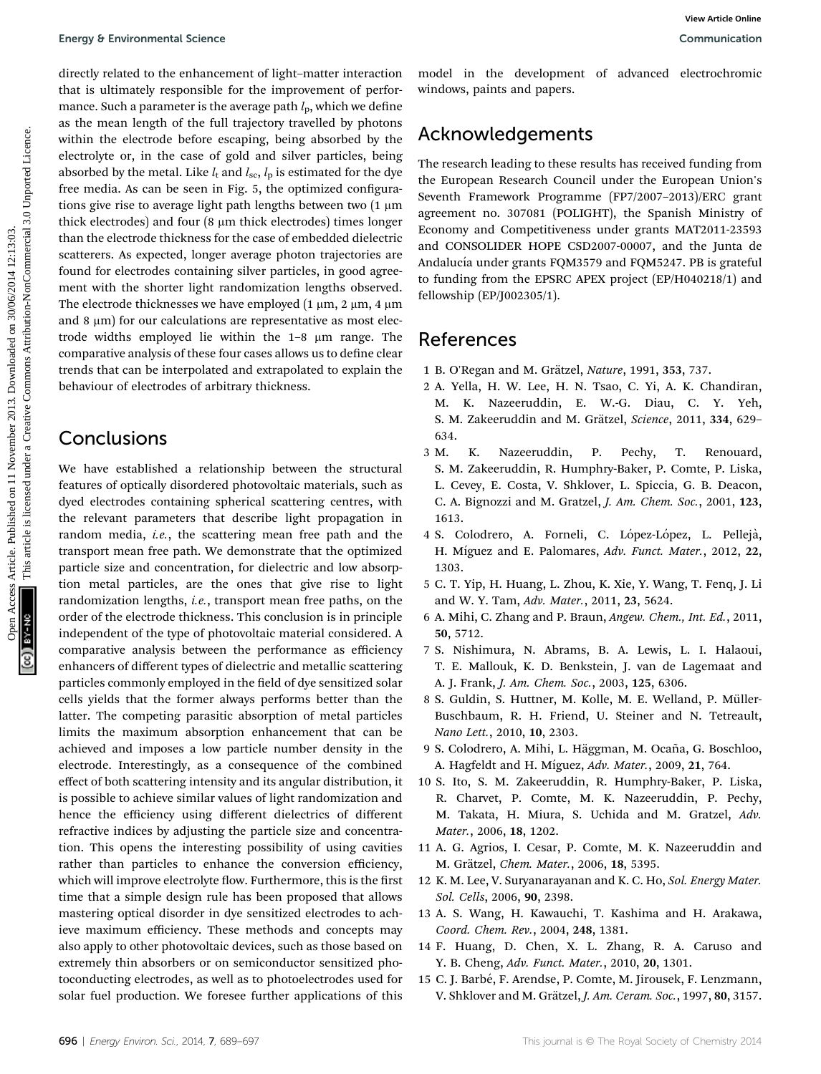directly related to the enhancement of light–matter interaction that is ultimately responsible for the improvement of performance. Such a parameter is the average path  $l_p$ , which we define as the mean length of the full trajectory travelled by photons within the electrode before escaping, being absorbed by the electrolyte or, in the case of gold and silver particles, being absorbed by the metal. Like  $l_t$  and  $l_{\rm sc}$ ,  $l_{\rm p}$  is estimated for the dye free media. As can be seen in Fig. 5, the optimized configurations give rise to average light path lengths between two  $(1 \mu m)$ thick electrodes) and four  $(8 \mu m)$  thick electrodes) times longer than the electrode thickness for the case of embedded dielectric scatterers. As expected, longer average photon trajectories are found for electrodes containing silver particles, in good agreement with the shorter light randomization lengths observed. The electrode thicknesses we have employed  $(1 \mu m, 2 \mu m, 4 \mu m)$ and  $8 \mu m$ ) for our calculations are representative as most electrode widths employed lie within the 1-8 µm range. The comparative analysis of these four cases allows us to define clear trends that can be interpolated and extrapolated to explain the behaviour of electrodes of arbitrary thickness. Conclusions are the interest Article on 11 November 2013. Downloaded to the second the second that is licensed under the second to the interest are the second to the second the common access Article is licensed under a cre

### Conclusions

We have established a relationship between the structural features of optically disordered photovoltaic materials, such as dyed electrodes containing spherical scattering centres, with the relevant parameters that describe light propagation in random media, i.e., the scattering mean free path and the transport mean free path. We demonstrate that the optimized particle size and concentration, for dielectric and low absorption metal particles, are the ones that give rise to light randomization lengths, *i.e.*, transport mean free paths, on the order of the electrode thickness. This conclusion is in principle independent of the type of photovoltaic material considered. A comparative analysis between the performance as efficiency enhancers of different types of dielectric and metallic scattering particles commonly employed in the field of dye sensitized solar cells yields that the former always performs better than the latter. The competing parasitic absorption of metal particles limits the maximum absorption enhancement that can be achieved and imposes a low particle number density in the electrode. Interestingly, as a consequence of the combined effect of both scattering intensity and its angular distribution, it is possible to achieve similar values of light randomization and hence the efficiency using different dielectrics of different refractive indices by adjusting the particle size and concentration. This opens the interesting possibility of using cavities rather than particles to enhance the conversion efficiency, which will improve electrolyte flow. Furthermore, this is the first time that a simple design rule has been proposed that allows mastering optical disorder in dye sensitized electrodes to achieve maximum efficiency. These methods and concepts may also apply to other photovoltaic devices, such as those based on extremely thin absorbers or on semiconductor sensitized photoconducting electrodes, as well as to photoelectrodes used for solar fuel production. We foresee further applications of this

model in the development of advanced electrochromic windows, paints and papers.

# Acknowledgements

The research leading to these results has received funding from the European Research Council under the European Union's Seventh Framework Programme (FP7/2007–2013)/ERC grant agreement no. 307081 (POLIGHT), the Spanish Ministry of Economy and Competitiveness under grants MAT2011-23593 and CONSOLIDER HOPE CSD2007-00007, and the Junta de Andalucía under grants FQM3579 and FQM5247. PB is grateful to funding from the EPSRC APEX project (EP/H040218/1) and fellowship (EP/J002305/1).

#### References

- 1 B. O'Regan and M. Grätzel, Nature, 1991, 353, 737.
- 2 A. Yella, H. W. Lee, H. N. Tsao, C. Yi, A. K. Chandiran, M. K. Nazeeruddin, E. W.-G. Diau, C. Y. Yeh, S. M. Zakeeruddin and M. Grätzel, Science, 2011, 334, 629-634.
- 3 M. K. Nazeeruddin, P. Pechy, T. Renouard, S. M. Zakeeruddin, R. Humphry-Baker, P. Comte, P. Liska, L. Cevey, E. Costa, V. Shklover, L. Spiccia, G. B. Deacon, C. A. Bignozzi and M. Gratzel, J. Am. Chem. Soc., 2001, 123, 1613.
- 4 S. Colodrero, A. Forneli, C. López-López, L. Pellejà, H. Míguez and E. Palomares, Adv. Funct. Mater., 2012, 22, 1303.
- 5 C. T. Yip, H. Huang, L. Zhou, K. Xie, Y. Wang, T. Fenq, J. Li and W. Y. Tam, Adv. Mater., 2011, 23, 5624.
- 6 A. Mihi, C. Zhang and P. Braun, Angew. Chem., Int. Ed., 2011, 50, 5712.
- 7 S. Nishimura, N. Abrams, B. A. Lewis, L. I. Halaoui, T. E. Mallouk, K. D. Benkstein, J. van de Lagemaat and A. J. Frank, J. Am. Chem. Soc., 2003, 125, 6306.
- 8 S. Guldin, S. Huttner, M. Kolle, M. E. Welland, P. Müller-Buschbaum, R. H. Friend, U. Steiner and N. Tetreault, Nano Lett., 2010, 10, 2303.
- 9 S. Colodrero, A. Mihi, L. Häggman, M. Ocaña, G. Boschloo, A. Hagfeldt and H. Míguez, Adv. Mater., 2009, 21, 764.
- 10 S. Ito, S. M. Zakeeruddin, R. Humphry-Baker, P. Liska, R. Charvet, P. Comte, M. K. Nazeeruddin, P. Pechy, M. Takata, H. Miura, S. Uchida and M. Gratzel, Adv. Mater., 2006, 18, 1202.
- 11 A. G. Agrios, I. Cesar, P. Comte, M. K. Nazeeruddin and M. Grätzel, Chem. Mater., 2006, 18, 5395.
- 12 K. M. Lee, V. Suryanarayanan and K. C. Ho, Sol. Energy Mater. Sol. Cells, 2006, 90, 2398.
- 13 A. S. Wang, H. Kawauchi, T. Kashima and H. Arakawa, Coord. Chem. Rev., 2004, 248, 1381.
- 14 F. Huang, D. Chen, X. L. Zhang, R. A. Caruso and Y. B. Cheng, Adv. Funct. Mater., 2010, 20, 1301.
- 15 C. J. Barbé, F. Arendse, P. Comte, M. Jirousek, F. Lenzmann, V. Shklover and M. Grätzel, J. Am. Ceram. Soc., 1997, 80, 3157.